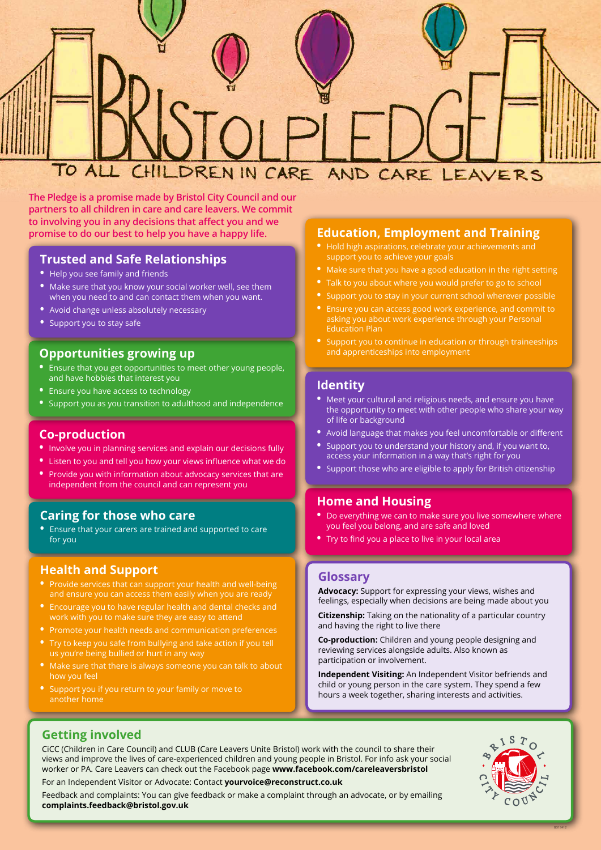BD13412

## **Trusted and Safe Relationships**

- **•** Help you see family and friends
- **•** Make sure that you know your social worker well, see them when you need to and can contact them when you want.
- **•** Avoid change unless absolutely necessary
- **•** Support you to stay safe

## **Education, Employment and Training**

- **•** Hold high aspirations, celebrate your achievements and support you to achieve your goals
- **•** Make sure that you have a good education in the right setting
- **•** Talk to you about where you would prefer to go to school
- **•** Support you to stay in your current school wherever possible
- **•** Ensure you can access good work experience, and commit to asking you about work experience through your Personal Education Plan
- **•** Support you to continue in education or through traineeships and apprenticeships into employment

## **Identity**

**•** Support those who are eligible to apply for British citizenship

### **Home and Housing**

- **•** Do everything we can to make sure you live somewhere where you feel you belong, and are safe and loved
- **•** Try to find you a place to live in your local area

### **Glossary**

**Advocacy:** Support for expressing your views, wishes and feelings, especially when decisions are being made about you

**Citizenship:** Taking on the nationality of a particular country and having the right to live there

**Co-production:** Children and young people designing and reviewing services alongside adults. Also known as participation or involvement.

**Independent Visiting:** An Independent Visitor befriends and child or young person in the care system. They spend a few hours a week together, sharing interests and activities.

- **•** Meet your cultural and religious needs, and ensure you have the opportunity to meet with other people who share your way of life or background
- **•** Avoid language that makes you feel uncomfortable or different
- **•** Support you to understand your history and, if you want to, access your information in a way that's right for you
- **•** Listen to you and tell you how your views influence what we do
- **•** Provide you with information about advocacy services that are independent from the council and can represent you

### **Getting involved**

CiCC (Children in Care Council) and CLUB (Care Leavers Unite Bristol) work with the council to share their views and improve the lives of care-experienced children and young people in Bristol. For info ask your social worker or PA. Care Leavers can check out the Facebook page **www.facebook.com/careleaversbristol**

For an Independent Visitor or Advocate: Contact **yourvoice@reconstruct.co.uk**

Feedback and complaints: You can give feedback or make a complaint through an advocate, or by emailing **complaints.feedback@bristol.gov.uk**



# **Opportunities growing up**

- **•** Ensure that you get opportunities to meet other young people, and have hobbies that interest you
- **•** Ensure you have access to technology
- **•** Support you as you transition to adulthood and independence

## **Co-production**

**•** Involve you in planning services and explain our decisions fully

## **Caring for those who care**

**•** Ensure that your carers are trained and supported to care for you

### **Health and Support**

- **•** Provide services that can support your health and well-being and ensure you can access them easily when you are ready
- **•** Encourage you to have regular health and dental checks and work with you to make sure they are easy to attend
- **•** Promote your health needs and communication preferences
- **•** Try to keep you safe from bullying and take action if you tell us you're being bullied or hurt in any way
- **•** Make sure that there is always someone you can talk to about how you feel
- **•** Support you if you return to your family or move to another home

# TO ALL CHILDREN IN CARE AND CARE LEAVERS

**The Pledge is a promise made by Bristol City Council and our partners to all children in care and care leavers. We commit to involving you in any decisions that affect you and we promise to do our best to help you have a happy life.**